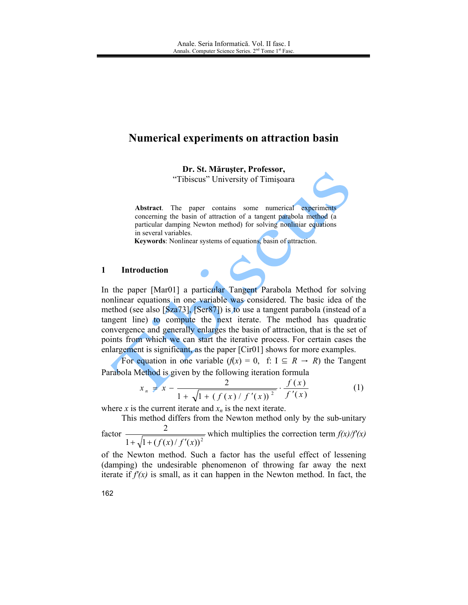# **Numerical experiments on attraction basin**

Dr. St. Măruster, Professor,

"Tibiscus" University of Timișoara

**Abstract**. The paper contains some numerical experiments concerning the basin of attraction of a tangent parabola method (a particular damping Newton method) for solving nonliniar equations in several variables.

Keywords: Nonlinear systems of equations, basin of attraction.

### $\mathbf{1}$ **Introduction**

In the paper [Mar01] a particular Tangent Parabola Method for solving nonlinear equations in one variable was considered. The basic idea of the method (see also [Sza73], [Ser87]) is to use a tangent parabola (instead of a tangent line) to compute the next iterate. The method has quadratic convergence and generally enlarges the basin of attraction, that is the set of points from which we can start the iterative process. For certain cases the enlargement is significant, as the paper [Cir01] shows for more examples.

For equation in one variable  $(f(x) = 0, f: I \subseteq R \rightarrow R)$  the Tangent Parabola Method is given by the following iteration formula

$$
x_n \neq x - \frac{2}{1 + \sqrt{1 + (f(x) / f'(x))^{2}}} \cdot \frac{f(x)}{f'(x)}
$$
(1)

where x is the current iterate and  $x_n$  is the next iterate.

This method differs from the Newton method only by the sub-unitary

factor  $\frac{2}{1 + \sqrt{1 + (f(x)/f'(x))^2}}$  which multiplies the correction term  $f(x)/f'(x)$ 

of the Newton method. Such a factor has the useful effect of lessening (damping) the undesirable phenomenon of throwing far away the next iterate if  $f(x)$  is small, as it can happen in the Newton method. In fact, the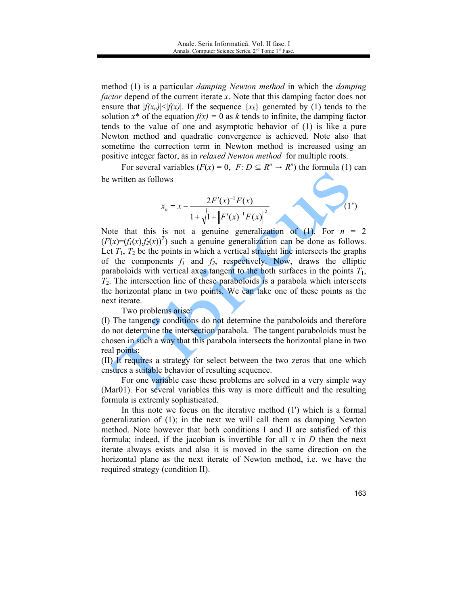method (1) is a particular *damping Newton method* in which the *damping factor* depend of the current iterate x. Note that this damping factor does not ensure that  $|f(x_n)| \leq |f(x)|$ . If the sequence  $\{x_k\}$  generated by (1) tends to the solution  $x^*$  of the equation  $f(x) = 0$  as k tends to infinite, the damping factor tends to the value of one and asymptotic behavior of (1) is like a pure Newton method and quadratic convergence is achieved. Note also that sometime the correction term in Newton method is increased using an positive integer factor, as in *relaxed Newton method* for multiple roots.

For several variables  $(F(x) = 0, F: D \subseteq R^n \rightarrow R^n)$  the formula (1) can be written as follows

$$
x_n = x - \frac{2F'(x)^{-1}F(x)}{1 + \sqrt{1 + \|F'(x)^{-1}F(x)\|^2}}
$$
 (1')

Note that this is not a genuine generalization of (1). For  $n = 2$  $(F(x) = (f_1(x), f_2(x))^T)$  such a genuine generalization can be done as follows. Let  $T_1$ ,  $T_2$  be the points in which a vertical straight line intersects the graphs of the components  $f_1$  and  $f_2$ , respectively. Now, draws the elliptic paraboloids with vertical axes tangent to the both surfaces in the points  $T_1$ ,  $T_2$ . The intersection line of these paraboloids is a parabola which intersects the horizontal plane in two points. We can take one of these points as the next iterate.

Two problems arise:

(I) The tangency conditions do not determine the paraboloids and therefore do not determine the intersection parabola. The tangent paraboloids must be chosen in such a way that this parabola intersects the horizontal plane in two real points:

(II) It requires a strategy for select between the two zeros that one which ensures a suitable behavior of resulting sequence.

For one variable case these problems are solved in a very simple way (Mar01). For several variables this way is more difficult and the resulting formula is extremly sophisticated.

In this note we focus on the iterative method  $(1')$  which is a formal generalization of (1); in the next we will call them as damping Newton method. Note however that both conditions I and II are satisfied of this formula; indeed, if the jacobian is invertible for all x in  $D$  then the next iterate always exists and also it is moved in the same direction on the horizontal plane as the next iterate of Newton method, *i.e.* we have the required strategy (condition II).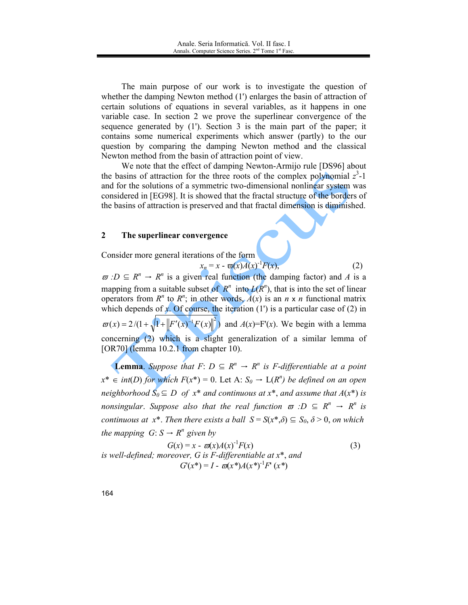The main purpose of our work is to investigate the question of whether the damping Newton method (1') enlarges the basin of attraction of certain solutions of equations in several variables, as it happens in one variable case. In section 2 we prove the superlinear convergence of the sequence generated by (1'). Section 3 is the main part of the paper; it contains some numerical experiments which answer (partly) to the our question by comparing the damping Newton method and the classical Newton method from the basin of attraction point of view.

We note that the effect of damping Newton-Armijo rule [DS96] about the basins of attraction for the three roots of the complex polynomial  $z^3$ -1 and for the solutions of a symmetric two-dimensional nonlinear system was considered in [EG98]. It is showed that the fractal structure of the borders of the basins of attraction is preserved and that fractal dimension is diminished.

#### $\overline{2}$ The superlinear convergence

Consider more general iterations of the form

 $x_n = x - \varpi(x) A(x)^{-1} F(x),$  $(2)$ 

 $\varpi$ : $D \subseteq R^n \to R^n$  is a given real function (the damping factor) and A is a mapping from a suitable subset of  $R^n$  into  $L(R^n)$ , that is into the set of linear operators from  $R^n$  to  $R^n$ ; in other words,  $A(x)$  is an  $n \times n$  functional matrix which depends of x. Of course, the iteration  $(1')$  is a particular case of  $(2)$  in  $\varpi(x) = 2/(1 + \sqrt{1 + \|F'(x)^{-1}F(x)\|^2})$  and  $A(x) = F'(x)$ . We begin with a lemma concerning  $(2)$  which is a slight generalization of a similar lemma of [OR70] (lemma  $10.2.1$  from chapter 10).

**Lemma**. Suppose that  $F: D \subseteq R^n \rightarrow R^n$  is *F*-differentiable at a point  $x^* \in int(D)$  for which  $F(x^*) = 0$ . Let A:  $S_0 \to L(R^n)$  be defined on an open neighborhood  $\overline{S}_0 \subseteq D$  of  $x^*$  and continuous at  $x^*$ , and assume that  $A(x^*)$  is nonsingular. Suppose also that the real function  $\varpi : D \subseteq R^n \to R^n$  is continuous at  $x^*$ . Then there exists a ball  $S = S(x^*, \delta) \subseteq S_0$ ,  $\delta > 0$ , on which the mapping  $G: S \to R^n$  given by

$$
G(x) = x - \varpi(x)A(x)^{-1}F(x)
$$
\nis well-defined; moreover, G is F-differentiable at x\*, and  
\n
$$
G'(x^*) = I - \varpi(x^*)A(x^*)^{-1}F'(x^*)
$$
\n(3)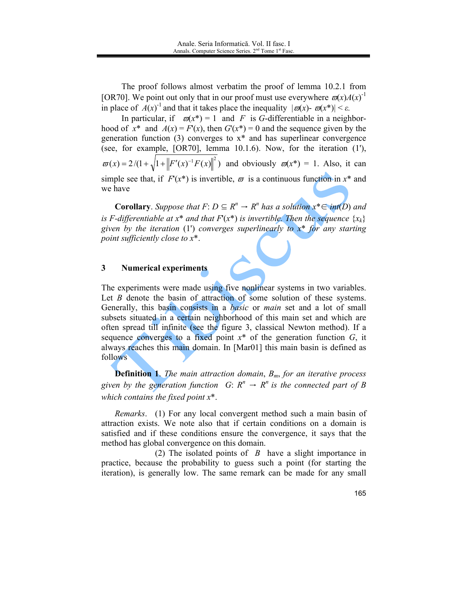The proof follows almost verbatim the proof of lemma 10.2.1 from [OR70]. We point out only that in our proof must use everywhere  $\varpi(x)A(x)^{-1}$ in place of  $A(x)$ <sup>-1</sup> and that it takes place the inequality  $|\varpi(x) - \varpi(x^*)| < \varepsilon$ .

In particular, if  $\varpi(x^*) = 1$  and F is G-differentiable in a neighborhood of  $x^*$  and  $A(x) = F(x)$ , then  $G'(x^*) = 0$  and the sequence given by the generation function (3) converges to  $x^*$  and has superlinear convergence (see, for example,  $[OR70]$ , lemma  $10.1.6$ ). Now, for the iteration  $(1')$ ,  $\varpi(x) = 2/(1 + \sqrt{1 + \|F'(x)^{-1}F(x)\|^2})$  and obviously  $\varpi(x^*) = 1$ . Also, it can simple see that, if  $F(x^*)$  is invertible,  $\varpi$  is a continuous function in  $x^*$  and we have

**Corollary**. Suppose that F:  $D \subseteq R^n \to R^n$  has a solution  $x^* \in \text{int}(D)$  and is F-differentiable at  $x^*$  and that  $F(x^*)$  is invertible. Then the sequence  $\{x_k\}$ given by the iteration (1') converges superlinearly to  $x^*$  for any starting point sufficiently close to  $x^*$ .

#### 3 **Numerical experiments**

The experiments were made using five nonlinear systems in two variables. Let  $B$  denote the basin of attraction of some solution of these systems. Generally, this basin consists in a *basic* or *main* set and a lot of small subsets situated in a certain neighborhood of this main set and which are often spread till infinite (see the figure 3, classical Newton method). If a sequence converges to a fixed point  $x^*$  of the generation function  $G$ , it always reaches this main domain. In [Mar01] this main basin is defined as follows

**Definition 1.** The main attraction domain,  $B_m$ , for an iterative process given by the generation function G:  $R^n \rightarrow R^n$  is the connected part of B which contains the fixed point  $x^*$ .

*Remarks.* (1) For any local convergent method such a main basin of attraction exists. We note also that if certain conditions on a domain is satisfied and if these conditions ensure the convergence, it says that the method has global convergence on this domain.

(2) The isolated points of  $B$  have a slight importance in practice, because the probability to guess such a point (for starting the iteration), is generally low. The same remark can be made for any small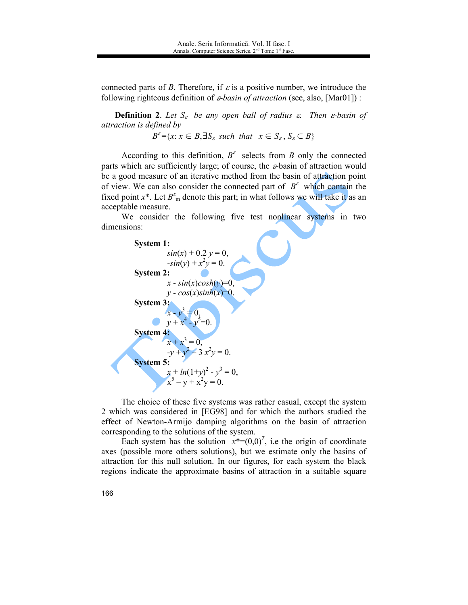connected parts of B. Therefore, if  $\varepsilon$  is a positive number, we introduce the following righteous definition of  $\varepsilon$ -basin of attraction (see, also, [Mar01]):

**Definition 2.** Let  $S_{\varepsilon}$  be any open ball of radius  $\varepsilon$ . Then  $\varepsilon$ -basin of attraction is defined by

 $B^{\varepsilon} = \{x : x \in B, \exists S_{\varepsilon} \text{ such that } x \in S_{\varepsilon}, S_{\varepsilon} \subset B\}$ 

According to this definition,  $B^{\varepsilon}$  selects from B only the connected parts which are sufficiently large; of course, the  $\varepsilon$ -basin of attraction would be a good measure of an iterative method from the basin of attraction point of view. We can also consider the connected part of  $B^{\varepsilon}$  which contain the fixed point  $x^*$ . Let  $B_{m}^{\varepsilon}$  denote this part; in what follows we will take it as an acceptable measure.

We consider the following five test nonlinear systems in two dimensions:



The choice of these five systems was rather casual, except the system 2 which was considered in [EG98] and for which the authors studied the effect of Newton-Armijo damping algorithms on the basin of attraction corresponding to the solutions of the system.

Each system has the solution  $x^*=(0,0)^T$ , i.e the origin of coordinate axes (possible more others solutions), but we estimate only the basins of attraction for this null solution. In our figures, for each system the black regions indicate the approximate basins of attraction in a suitable square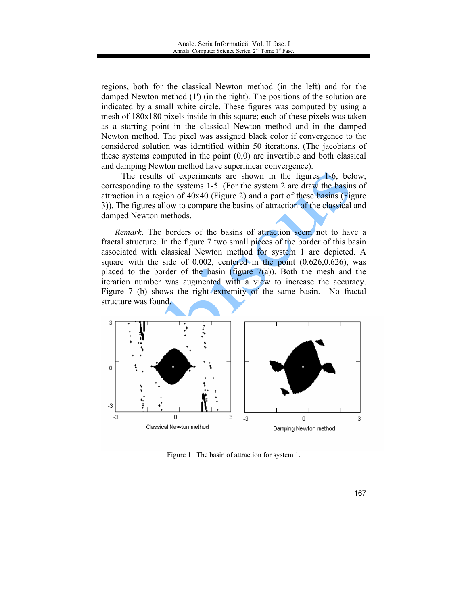regions, both for the classical Newton method (in the left) and for the damped Newton method (1') (in the right). The positions of the solution are indicated by a small white circle. These figures was computed by using a mesh of 180x180 pixels inside in this square; each of these pixels was taken as a starting point in the classical Newton method and in the damped Newton method. The pixel was assigned black color if convergence to the considered solution was identified within 50 iterations. (The jacobians of these systems computed in the point  $(0,0)$  are invertible and both classical and damping Newton method have superlinear convergence).

The results of experiments are shown in the figures 1-6, below, corresponding to the systems 1-5. (For the system 2 are draw the basins of attraction in a region of  $40x40$  (Figure 2) and a part of these basins (Figure 3)). The figures allow to compare the basins of attraction of the classical and damped Newton methods.

*Remark*. The borders of the basins of attraction seem not to have a fractal structure. In the figure 7 two small pieces of the border of this basin associated with classical Newton method for system 1 are depicted. A square with the side of  $0.002$ , centered in the point  $(0.626, 0.626)$ , was placed to the border of the basin (figure  $7(a)$ ). Both the mesh and the iteration number was augmented with a view to increase the accuracy. Figure 7 (b) shows the right extremity of the same basin. No fractal structure was found.



Figure 1. The basin of attraction for system 1.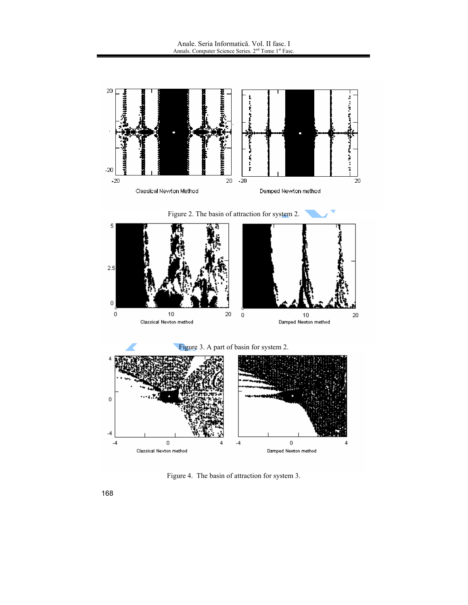

Figure 4. The basin of attraction for system 3.

168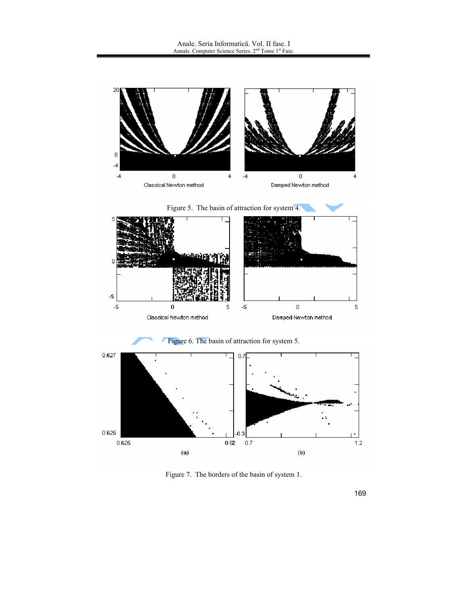

Figure 7. The borders of the basin of system 1.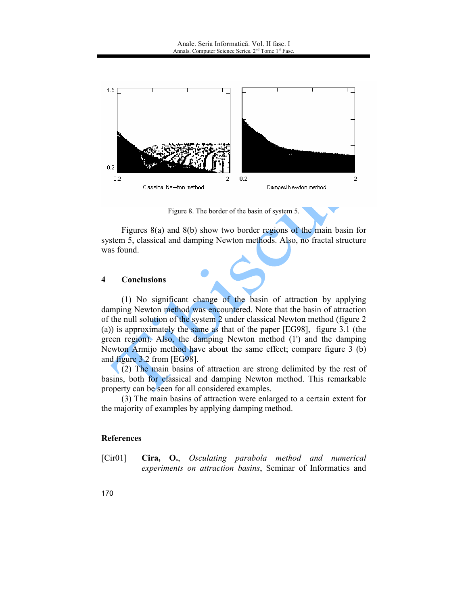

Figure 8. The border of the basin of system 5.

Figures  $8(a)$  and  $8(b)$  show two border regions of the main basin for system 5, classical and damping Newton methods. Also, no fractal structure was found.

#### $\overline{\mathbf{4}}$ **Conclusions**

(1) No significant change of the basin of attraction by applying damping Newton method was encountered. Note that the basin of attraction of the null solution of the system 2 under classical Newton method (figure 2) (a)) is approximately the same as that of the paper [EG98], figure 3.1 (the green region). Also, the damping Newton method (1') and the damping Newton Armijo method have about the same effect; compare figure 3 (b) and figure 3.2 from [EG98].

(2) The main basins of attraction are strong delimited by the rest of basins, both for classical and damping Newton method. This remarkable property can be seen for all considered examples.

(3) The main basins of attraction were enlarged to a certain extent for the majority of examples by applying damping method.

## **References**

 $[Cr01]$ Cira, O., Osculating parabola method and numerical experiments on attraction basins, Seminar of Informatics and